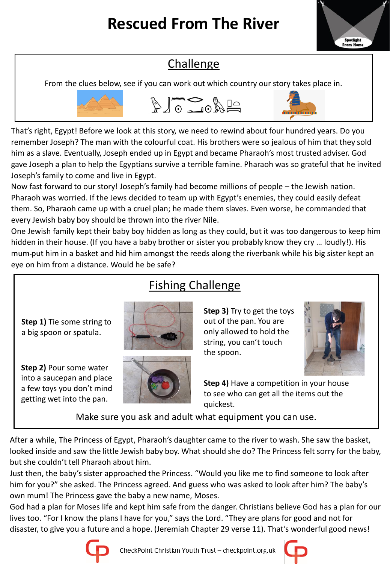

## **Challenge**

From the clues below, see if you can work out which country our story takes place in.



That's right, Egypt! Before we look at this story, we need to rewind about four hundred years. Do you remember Joseph? The man with the colourful coat. His brothers were so jealous of him that they sold him as a slave. Eventually, Joseph ended up in Egypt and became Pharaoh's most trusted adviser. God gave Joseph a plan to help the Egyptians survive a terrible famine. Pharaoh was so grateful that he invited Joseph's family to come and live in Egypt.

Now fast forward to our story! Joseph's family had become millions of people – the Jewish nation. Pharaoh was worried. If the Jews decided to team up with Egypt's enemies, they could easily defeat them. So, Pharaoh came up with a cruel plan; he made them slaves. Even worse, he commanded that every Jewish baby boy should be thrown into the river Nile.

One Jewish family kept their baby boy hidden as long as they could, but it was too dangerous to keep him hidden in their house. (If you have a baby brother or sister you probably know they cry … loudly!). His mum put him in a basket and hid him amongst the reeds along the riverbank while his big sister kept an eye on him from a distance. Would he be safe?

# Fishing Challenge

**Step 1)** Tie some string to a big spoon or spatula.

**Step 2)** Pour some water into a saucepan and place a few toys you don't mind getting wet into the pan.





#### **Step 3)** Try to get the toys out of the pan. You are only allowed to hold the string, you can't touch the spoon.



**Step 4)** Have a competition in your house to see who can get all the items out the quickest.

Make sure you ask and adult what equipment you can use.

After a while, The Princess of Egypt, Pharaoh's daughter came to the river to wash. She saw the basket, looked inside and saw the little Jewish baby boy. What should she do? The Princess felt sorry for the baby, but she couldn't tell Pharaoh about him.

Just then, the baby's sister approached the Princess. "Would you like me to find someone to look after him for you?" she asked. The Princess agreed. And guess who was asked to look after him? The baby's own mum! The Princess gave the baby a new name, Moses.

God had a plan for Moses life and kept him safe from the danger. Christians believe God has a plan for our lives too. "For I know the plans I have for you," says the Lord. "They are plans for good and not for disaster, to give you a future and a hope. (Jeremiah Chapter 29 verse 11). That's wonderful good news!



CheckPoint Christian Youth Trust - checkpoint.org.uk